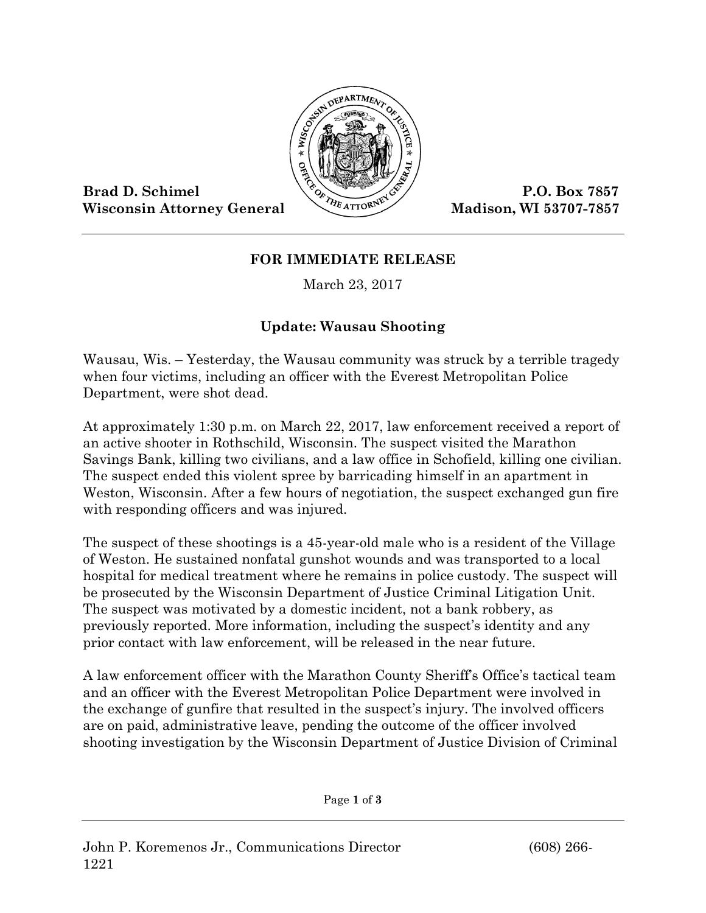

Wisconsin Attorney General Madison, WI 53707-7857

## **FOR IMMEDIATE RELEASE**

March 23, 2017

## **Update: Wausau Shooting**

Wausau, Wis. – Yesterday, the Wausau community was struck by a terrible tragedy when four victims, including an officer with the Everest Metropolitan Police Department, were shot dead.

At approximately 1:30 p.m. on March 22, 2017, law enforcement received a report of an active shooter in Rothschild, Wisconsin. The suspect visited the Marathon Savings Bank, killing two civilians, and a law office in Schofield, killing one civilian. The suspect ended this violent spree by barricading himself in an apartment in Weston, Wisconsin. After a few hours of negotiation, the suspect exchanged gun fire with responding officers and was injured.

The suspect of these shootings is a 45-year-old male who is a resident of the Village of Weston. He sustained nonfatal gunshot wounds and was transported to a local hospital for medical treatment where he remains in police custody. The suspect will be prosecuted by the Wisconsin Department of Justice Criminal Litigation Unit. The suspect was motivated by a domestic incident, not a bank robbery, as previously reported. More information, including the suspect's identity and any prior contact with law enforcement, will be released in the near future.

A law enforcement officer with the Marathon County Sheriff's Office's tactical team and an officer with the Everest Metropolitan Police Department were involved in the exchange of gunfire that resulted in the suspect's injury. The involved officers are on paid, administrative leave, pending the outcome of the officer involved shooting investigation by the Wisconsin Department of Justice Division of Criminal

Page **1** of **3**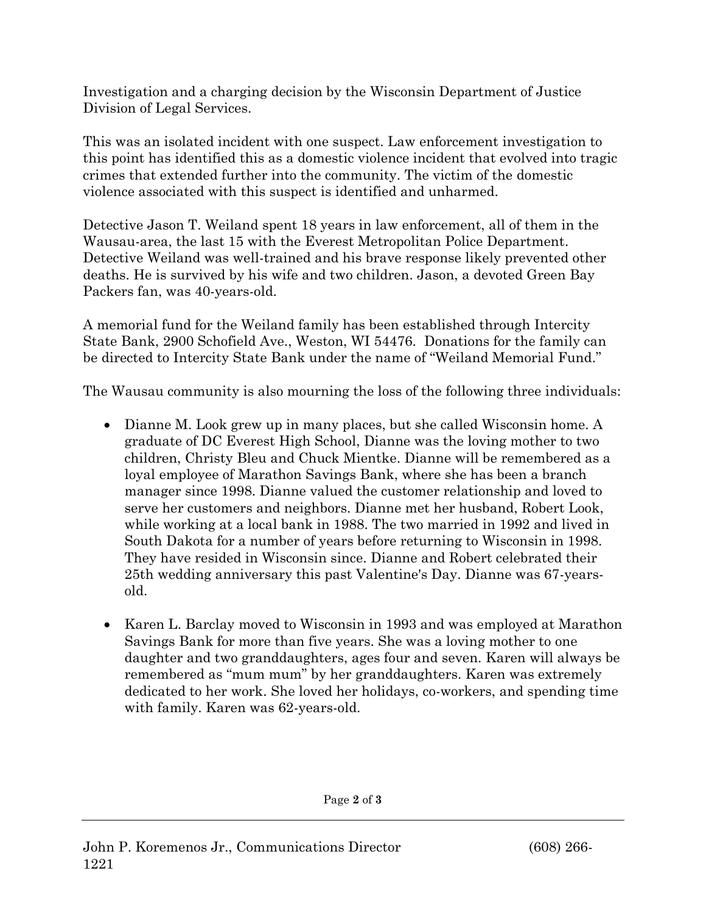Investigation and a charging decision by the Wisconsin Department of Justice Division of Legal Services.

This was an isolated incident with one suspect. Law enforcement investigation to this point has identified this as a domestic violence incident that evolved into tragic crimes that extended further into the community. The victim of the domestic violence associated with this suspect is identified and unharmed.

Detective Jason T. Weiland spent 18 years in law enforcement, all of them in the Wausau-area, the last 15 with the Everest Metropolitan Police Department. Detective Weiland was well-trained and his brave response likely prevented other deaths. He is survived by his wife and two children. Jason, a devoted Green Bay Packers fan, was 40-years-old.

A memorial fund for the Weiland family has been established through Intercity State Bank, 2900 Schofield Ave., Weston, WI 54476. Donations for the family can be directed to Intercity State Bank under the name of "Weiland Memorial Fund."

The Wausau community is also mourning the loss of the following three individuals:

- Dianne M. Look grew up in many places, but she called Wisconsin home. A graduate of DC Everest High School, Dianne was the loving mother to two children, Christy Bleu and Chuck Mientke. Dianne will be remembered as a loyal employee of Marathon Savings Bank, where she has been a branch manager since 1998. Dianne valued the customer relationship and loved to serve her customers and neighbors. Dianne met her husband, Robert Look, while working at a local bank in 1988. The two married in 1992 and lived in South Dakota for a number of years before returning to Wisconsin in 1998. They have resided in Wisconsin since. Dianne and Robert celebrated their 25th wedding anniversary this past Valentine's Day. Dianne was 67-yearsold.
- Karen L. Barclay moved to Wisconsin in 1993 and was employed at Marathon Savings Bank for more than five years. She was a loving mother to one daughter and two granddaughters, ages four and seven. Karen will always be remembered as "mum mum" by her granddaughters. Karen was extremely dedicated to her work. She loved her holidays, co-workers, and spending time with family. Karen was 62-years-old.